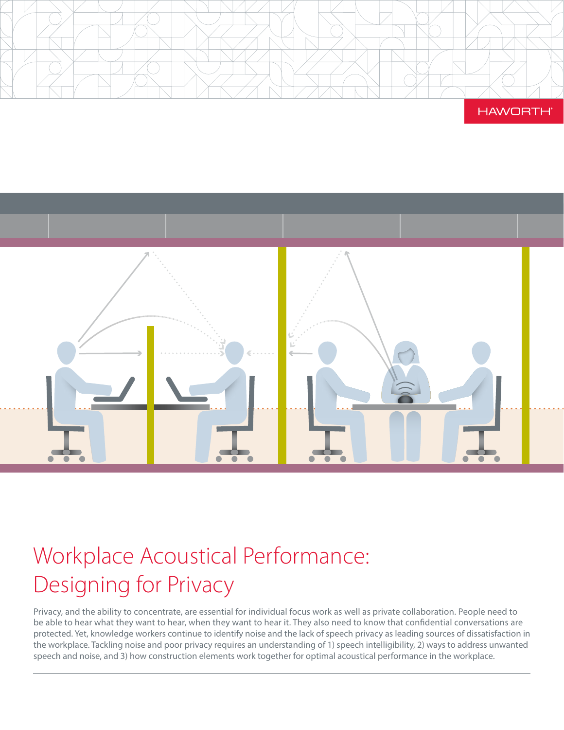





# Workplace Acoustical Performance: Designing for Privacy

Privacy, and the ability to concentrate, are essential for individual focus work as well as private collaboration. People need to be able to hear what they want to hear, when they want to hear it. They also need to know that confidential conversations are protected. Yet, knowledge workers continue to identify noise and the lack of speech privacy as leading sources of dissatisfaction in the workplace. Tackling noise and poor privacy requires an understanding of 1) speech intelligibility, 2) ways to address unwanted speech and noise, and 3) how construction elements work together for optimal acoustical performance in the workplace.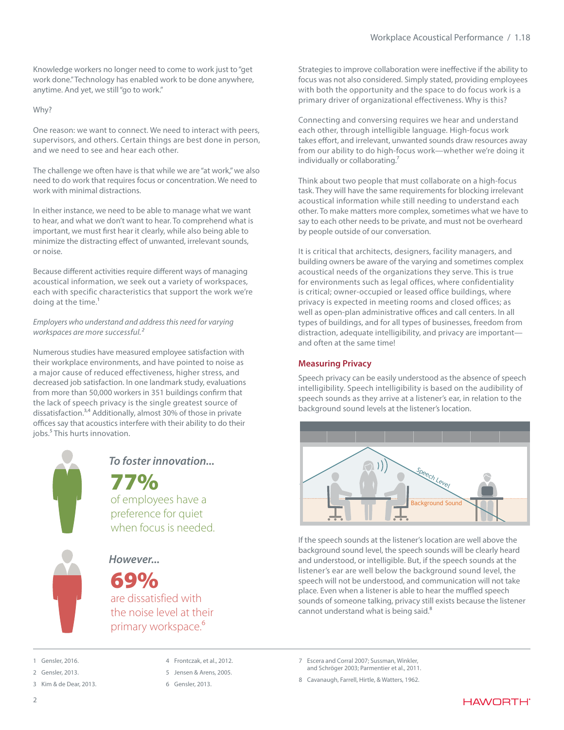Knowledge workers no longer need to come to work just to "get work done." Technology has enabled work to be done anywhere, anytime. And yet, we still "go to work."

Why?

One reason: we want to connect. We need to interact with peers, supervisors, and others. Certain things are best done in person, and we need to see and hear each other.

The challenge we often have is that while we are "at work," we also need to do work that requires focus or concentration. We need to work with minimal distractions.

In either instance, we need to be able to manage what we want to hear, and what we don't want to hear. To comprehend what is important, we must first hear it clearly, while also being able to minimize the distracting effect of unwanted, irrelevant sounds, or noise.

Because different activities require different ways of managing acoustical information, we seek out a variety of workspaces, each with specific characteristics that support the work we're doing at the time.<sup>1</sup>

*Employers who understand and address this need for varying workspaces are more successful.2*

Numerous studies have measured employee satisfaction with their workplace environments, and have pointed to noise as a major cause of reduced effectiveness, higher stress, and decreased job satisfaction. In one landmark study, evaluations from more than 50,000 workers in 351 buildings confirm that the lack of speech privacy is the single greatest source of dissatisfaction.3,4 Additionally, almost 30% of those in private offices say that acoustics interfere with their ability to do their jobs.<sup>5</sup> This hurts innovation.



*To foster innovation...*

77% of employees have a preference for quiet when focus is needed.

*However...*

69%

are dissatisfied with the noise level at their primary workspace.<sup>6</sup>

Gensler, 2016

2 Gensler, 2013.

3 Kim & de Dear, 2013.

4 Frontczak, et al., 2012.

- 5 Jensen & Arens, 2005.
- 6 Gensler, 2013.

Strategies to improve collaboration were ineffective if the ability to focus was not also considered. Simply stated, providing employees with both the opportunity and the space to do focus work is a primary driver of organizational effectiveness. Why is this?

Connecting and conversing requires we hear and understand each other, through intelligible language. High-focus work takes effort, and irrelevant, unwanted sounds draw resources away from our ability to do high-focus work—whether we're doing it individually or collaborating.<sup>7</sup>

Think about two people that must collaborate on a high-focus task. They will have the same requirements for blocking irrelevant acoustical information while still needing to understand each other. To make matters more complex, sometimes what we have to say to each other needs to be private, and must not be overheard by people outside of our conversation.

It is critical that architects, designers, facility managers, and building owners be aware of the varying and sometimes complex acoustical needs of the organizations they serve. This is true for environments such as legal offices, where confidentiality is critical; owner-occupied or leased office buildings, where privacy is expected in meeting rooms and closed offices; as well as open-plan administrative offices and call centers. In all types of buildings, and for all types of businesses, freedom from distraction, adequate intelligibility, and privacy are important and often at the same time!

# **Measuring Privacy**

Speech privacy can be easily understood as the absence of speech intelligibility. Speech intelligibility is based on the audibility of speech sounds as they arrive at a listener's ear, in relation to the background sound levels at the listener's location.



If the speech sounds at the listener's location are well above the background sound level, the speech sounds will be clearly heard and understood, or intelligible. But, if the speech sounds at the listener's ear are well below the background sound level, the speech will not be understood, and communication will not take place. Even when a listener is able to hear the muffled speech sounds of someone talking, privacy still exists because the listener cannot understand what is being said.<sup>8</sup>

7 Escera and Corral 2007; Sussman, Winkler, and Schröger 2003; Parmentier et al., 2011.

8 Cavanaugh, Farrell, Hirtle, & Watters, 1962.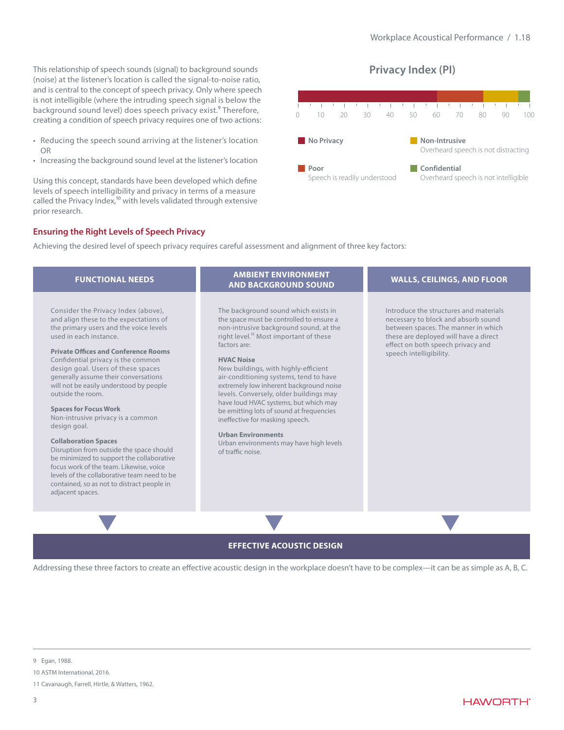This relationship of speech sounds (signal) to background sounds (noise) at the listener's location is called the signal-to-noise ratio, and is central to the concept of speech privacy. Only where speech is not intelligible (where the intruding speech signal is below the background sound level) does speech privacy exist.<sup>9</sup> Therefore, creating a condition of speech privacy requires one of two actions:

- Reducing the speech sound arriving at the listener's location OR
- Increasing the background sound level at the listener's location

Using this concept, standards have been developed which define levels of speech intelligibility and privacy in terms of a measure called the Privacy Index,<sup>10</sup> with levels validated through extensive prior research.

# **Privacy Index (PI)**



# **Ensuring the Right Levels of Speech Privacy**

Achieving the desired level of speech privacy requires careful assessment and alignment of three key factors:

| <b>FUNCTIONAL NEEDS</b>                                                                                                                                                                                                                                                                                                                                                                                                                                                                                                                                                                                                                                                                                                                                       | <b>AMBIENT ENVIRONMENT</b><br><b>AND BACKGROUND SOUND</b>                                                                                                                                                                                                                                                                                                                                                                                                                                                                                                                                                          | <b>WALLS, CEILINGS, AND FLOOR</b>                                                                                                                                                                                             |
|---------------------------------------------------------------------------------------------------------------------------------------------------------------------------------------------------------------------------------------------------------------------------------------------------------------------------------------------------------------------------------------------------------------------------------------------------------------------------------------------------------------------------------------------------------------------------------------------------------------------------------------------------------------------------------------------------------------------------------------------------------------|--------------------------------------------------------------------------------------------------------------------------------------------------------------------------------------------------------------------------------------------------------------------------------------------------------------------------------------------------------------------------------------------------------------------------------------------------------------------------------------------------------------------------------------------------------------------------------------------------------------------|-------------------------------------------------------------------------------------------------------------------------------------------------------------------------------------------------------------------------------|
| Consider the Privacy Index (above),<br>and align these to the expectations of<br>the primary users and the voice levels<br>used in each instance.<br><b>Private Offices and Conference Rooms</b><br>Confidential privacy is the common<br>design goal. Users of these spaces<br>generally assume their conversations<br>will not be easily understood by people<br>outside the room.<br><b>Spaces for Focus Work</b><br>Non-intrusive privacy is a common<br>design goal.<br><b>Collaboration Spaces</b><br>Disruption from outside the space should<br>be minimized to support the collaborative<br>focus work of the team. Likewise, voice<br>levels of the collaborative team need to be<br>contained, so as not to distract people in<br>adjacent spaces. | The background sound which exists in<br>the space must be controlled to ensure a<br>non-intrusive background sound, at the<br>right level. <sup>11</sup> Most important of these<br>factors are:<br><b>HVAC Noise</b><br>New buildings, with highly-efficient<br>air-conditioning systems, tend to have<br>extremely low inherent background noise<br>levels. Conversely, older buildings may<br>have loud HVAC systems, but which may<br>be emitting lots of sound at frequencies<br>ineffective for masking speech.<br><b>Urban Environments</b><br>Urban environments may have high levels<br>of traffic noise. | Introduce the structures and materials<br>necessary to block and absorb sound<br>between spaces. The manner in which<br>these are deployed will have a direct<br>effect on both speech privacy and<br>speech intelligibility. |
|                                                                                                                                                                                                                                                                                                                                                                                                                                                                                                                                                                                                                                                                                                                                                               |                                                                                                                                                                                                                                                                                                                                                                                                                                                                                                                                                                                                                    |                                                                                                                                                                                                                               |

# **EFFECTIVE ACOUSTIC DESIGN**

Addressing these three factors to create an effective acoustic design in the workplace doesn't have to be complex—it can be as simple as A, B, C.

<sup>9</sup> Egan, 1988.

<sup>10</sup> ASTM International, 2016.

<sup>11</sup> Cavanaugh, Farrell, Hirtle, & Watters, 1962.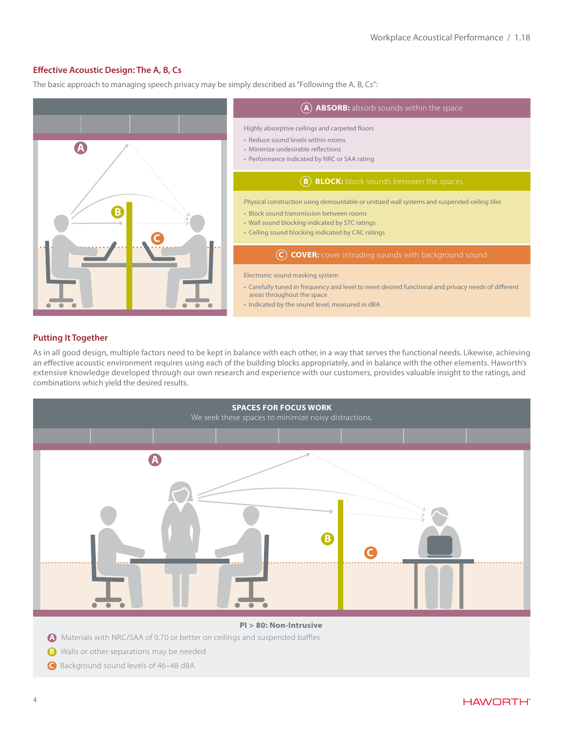# **Effective Acoustic Design: The A, B, Cs**

The basic approach to managing speech privacy may be simply described as "Following the A, B, Cs":



# **Putting It Together**

As in all good design, multiple factors need to be kept in balance with each other, in a way that serves the functional needs. Likewise, achieving an effective acoustic environment requires using each of the building blocks appropriately, and in balance with the other elements. Haworth's extensive knowledge developed through our own research and experience with our customers, provides valuable insight to the ratings, and combinations which yield the desired results.



- **A** Materials with NRC/SAA of 0.70 or better on ceilings and suspended baffles
- **B** Walls or other separations may be needed
- **C** Background sound levels of 46–48 dBA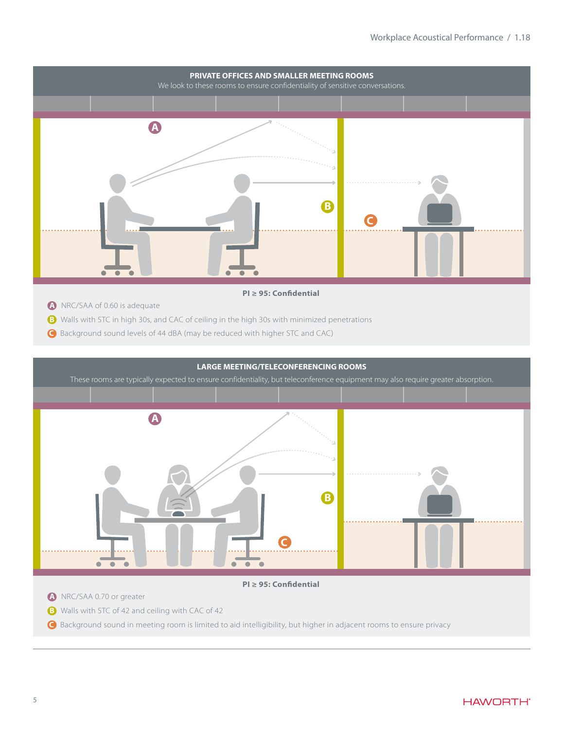

# **PI ≥ 95: Confidential**

- **A** NRC/SAA of 0.60 is adequate
- **B** Walls with STC in high 30s, and CAC of ceiling in the high 30s with minimized penetrations
- **C** Background sound levels of 44 dBA (may be reduced with higher STC and CAC)

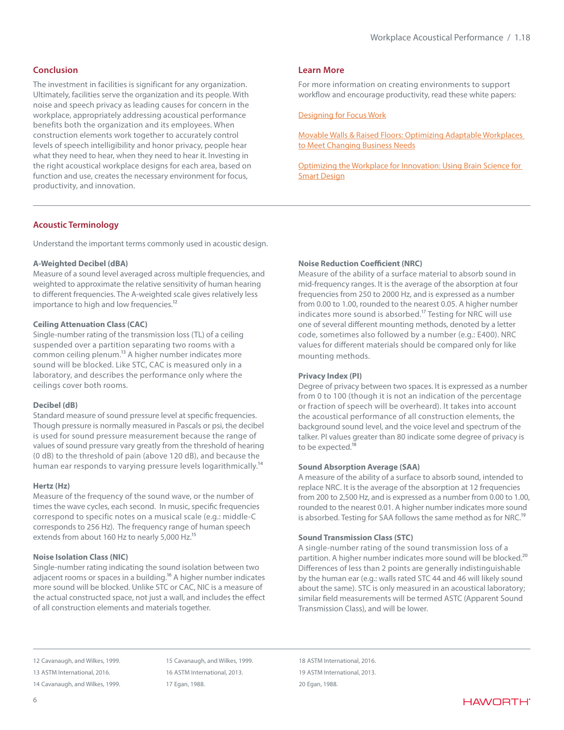# **Conclusion**

The investment in facilities is significant for any organization. Ultimately, facilities serve the organization and its people. With noise and speech privacy as leading causes for concern in the workplace, appropriately addressing acoustical performance benefits both the organization and its employees. When construction elements work together to accurately control levels of speech intelligibility and honor privacy, people hear what they need to hear, when they need to hear it. Investing in the right acoustical workplace designs for each area, based on function and use, creates the necessary environment for focus, productivity, and innovation.

# **Learn More**

For more information on creating environments to support workflow and encourage productivity, read these white papers:

[Designing for Focus Work](http://media.haworth.com/asset/83961/Focus White Paper_Haworth.Final.pdf)

[Movable Walls & Raised Floors: Optimizing Adaptable Workplaces](http://media.haworth.com/asset/97049/Floors%20and%20Walls%20White%20Paper_C5.pdf)  [to Meet Changing Business Needs](http://media.haworth.com/asset/97049/Floors%20and%20Walls%20White%20Paper_C5.pdf)

[Optimizing the Workplace for Innovation: Using Brain Science for](http://www.haworth.com/innovation)  [Smart Design](http://www.haworth.com/innovation)

# **Acoustic Terminology**

Understand the important terms commonly used in acoustic design.

#### **A-Weighted Decibel (dBA)**

Measure of a sound level averaged across multiple frequencies, and weighted to approximate the relative sensitivity of human hearing to different frequencies. The A-weighted scale gives relatively less importance to high and low frequencies.<sup>12</sup>

#### **Ceiling Attenuation Class (CAC)**

Single-number rating of the transmission loss (TL) of a ceiling suspended over a partition separating two rooms with a common ceiling plenum.<sup>13</sup> A higher number indicates more sound will be blocked. Like STC, CAC is measured only in a laboratory, and describes the performance only where the ceilings cover both rooms.

#### **Decibel (dB)**

Standard measure of sound pressure level at specific frequencies. Though pressure is normally measured in Pascals or psi, the decibel is used for sound pressure measurement because the range of values of sound pressure vary greatly from the threshold of hearing (0 dB) to the threshold of pain (above 120 dB), and because the human ear responds to varying pressure levels logarithmically.<sup>14</sup>

#### **Hertz (Hz)**

Measure of the frequency of the sound wave, or the number of times the wave cycles, each second. In music, specific frequencies correspond to specific notes on a musical scale (e.g.: middle-C corresponds to 256 Hz). The frequency range of human speech extends from about 160 Hz to nearly 5,000 Hz.<sup>15</sup>

# **Noise Isolation Class (NIC)**

Single-number rating indicating the sound isolation between two adjacent rooms or spaces in a building.<sup>16</sup> A higher number indicates more sound will be blocked. Unlike STC or CAC, NIC is a measure of the actual constructed space, not just a wall, and includes the effect of all construction elements and materials together.

# **Noise Reduction Coefficient (NRC)**

Measure of the ability of a surface material to absorb sound in mid-frequency ranges. It is the average of the absorption at four frequencies from 250 to 2000 Hz, and is expressed as a number from 0.00 to 1.00, rounded to the nearest 0.05. A higher number indicates more sound is absorbed.<sup>17</sup> Testing for NRC will use one of several different mounting methods, denoted by a letter code, sometimes also followed by a number (e.g.: E400). NRC values for different materials should be compared only for like mounting methods.

## **Privacy Index (PI)**

Degree of privacy between two spaces. It is expressed as a number from 0 to 100 (though it is not an indication of the percentage or fraction of speech will be overheard). It takes into account the acoustical performance of all construction elements, the background sound level, and the voice level and spectrum of the talker. PI values greater than 80 indicate some degree of privacy is to be expected.<sup>18</sup>

#### **Sound Absorption Average (SAA)**

A measure of the ability of a surface to absorb sound, intended to replace NRC. It is the average of the absorption at 12 frequencies from 200 to 2,500 Hz, and is expressed as a number from 0.00 to 1.00, rounded to the nearest 0.01. A higher number indicates more sound is absorbed. Testing for SAA follows the same method as for NRC.<sup>19</sup>

## **Sound Transmission Class (STC)**

A single-number rating of the sound transmission loss of a partition. A higher number indicates more sound will be blocked.<sup>20</sup> Differences of less than 2 points are generally indistinguishable by the human ear (e.g.: walls rated STC 44 and 46 will likely sound about the same). STC is only measured in an acoustical laboratory; similar field measurements will be termed ASTC (Apparent Sound Transmission Class), and will be lower.

15 Cavanaugh, and Wilkes, 1999. 16 ASTM International, 2013. 17 Egan, 1988.

18 ASTM International, 2016. 19 ASTM International, 2013. 20 Egan, 1988.

<sup>12</sup> Cavanaugh, and Wilkes, 1999.

<sup>13</sup> ASTM International, 2016.

<sup>14</sup> Cavanaugh, and Wilkes, 1999.